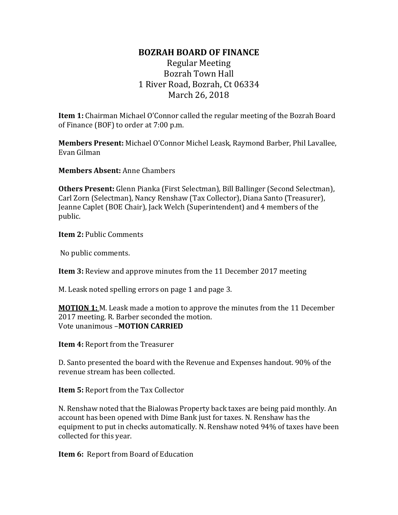## **BOZRAH BOARD OF FINANCE**

## Regular Meeting Bozrah Town Hall 1 River Road, Bozrah, Ct 06334 March 26, 2018

**Item 1:** Chairman Michael O'Connor called the regular meeting of the Bozrah Board of Finance (BOF) to order at 7:00 p.m.

**Members Present:** Michael O'Connor Michel Leask, Raymond Barber, Phil Lavallee, Evan Gilman

**Members Absent:** Anne Chambers

**Others Present:** Glenn Pianka (First Selectman), Bill Ballinger (Second Selectman), Carl Zorn (Selectman), Nancy Renshaw (Tax Collector), Diana Santo (Treasurer), Jeanne Caplet (BOE Chair), Jack Welch (Superintendent) and 4 members of the public.

**Item 2:** Public Comments

No public comments.

**Item 3:** Review and approve minutes from the 11 December 2017 meeting

M. Leask noted spelling errors on page 1 and page 3.

**MOTION 1:** M. Leask made a motion to approve the minutes from the 11 December 2017 meeting. R. Barber seconded the motion. Vote unanimous –**MOTION CARRIED**

**Item 4:** Report from the Treasurer

D. Santo presented the board with the Revenue and Expenses handout. 90% of the revenue stream has been collected.

**Item 5:** Report from the Tax Collector

N. Renshaw noted that the Bialowas Property back taxes are being paid monthly. An account has been opened with Dime Bank just for taxes. N. Renshaw has the equipment to put in checks automatically. N. Renshaw noted 94% of taxes have been collected for this year.

**Item 6:** Report from Board of Education